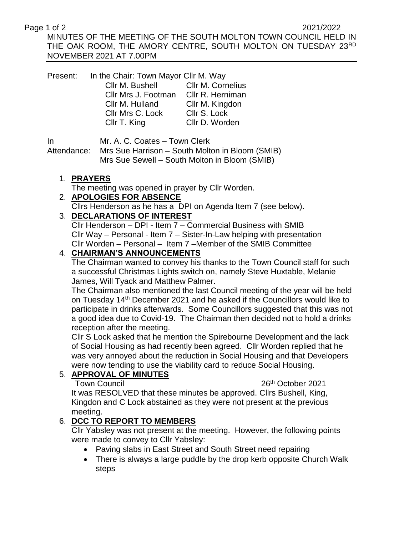#### Page 1 of 2 2021/2022

MINUTES OF THE MEETING OF THE SOUTH MOLTON TOWN COUNCIL HELD IN THE OAK ROOM, THE AMORY CENTRE, SOUTH MOLTON ON TUESDAY 23RD NOVEMBER 2021 AT 7.00PM

Present: In the Chair: Town Mayor Cllr M. Way Cllr M. Bushell Cllr M. Cornelius Cllr Mrs J. Footman Cllr R. Herniman Cllr M. Hulland Cllr M. Kingdon Cllr Mrs C. Lock Cllr S. Lock Cllr T. King Cllr D. Worden

In Mr. A. C. Coates – Town Clerk

Attendance: Mrs Sue Harrison – South Molton in Bloom (SMIB) Mrs Sue Sewell – South Molton in Bloom (SMIB)

#### 1. **PRAYERS**

The meeting was opened in prayer by Cllr Worden.

#### 2. **APOLOGIES FOR ABSENCE**

Cllrs Henderson as he has a DPI on Agenda Item 7 (see below).

# 3. **DECLARATIONS OF INTEREST**

Cllr Henderson – DPI - Item 7 – Commercial Business with SMIB Cllr Way – Personal - Item 7 – Sister-In-Law helping with presentation Cllr Worden – Personal – Item 7 –Member of the SMIB Committee

# 4. **CHAIRMAN'S ANNOUNCEMENTS**

The Chairman wanted to convey his thanks to the Town Council staff for such a successful Christmas Lights switch on, namely Steve Huxtable, Melanie James, Will Tyack and Matthew Palmer.

The Chairman also mentioned the last Council meeting of the year will be held on Tuesday 14th December 2021 and he asked if the Councillors would like to participate in drinks afterwards. Some Councillors suggested that this was not a good idea due to Covid-19. The Chairman then decided not to hold a drinks reception after the meeting.

Cllr S Lock asked that he mention the Spirebourne Development and the lack of Social Housing as had recently been agreed. Cllr Worden replied that he was very annoyed about the reduction in Social Housing and that Developers were now tending to use the viability card to reduce Social Housing.

# 5. **APPROVAL OF MINUTES**

Town Council **26th** October 2021

It was RESOLVED that these minutes be approved. Cllrs Bushell, King, Kingdon and C Lock abstained as they were not present at the previous meeting.

# 6. **DCC TO REPORT TO MEMBERS**

Cllr Yabsley was not present at the meeting. However, the following points were made to convey to Cllr Yabsley:

- Paving slabs in East Street and South Street need repairing
- There is always a large puddle by the drop kerb opposite Church Walk steps